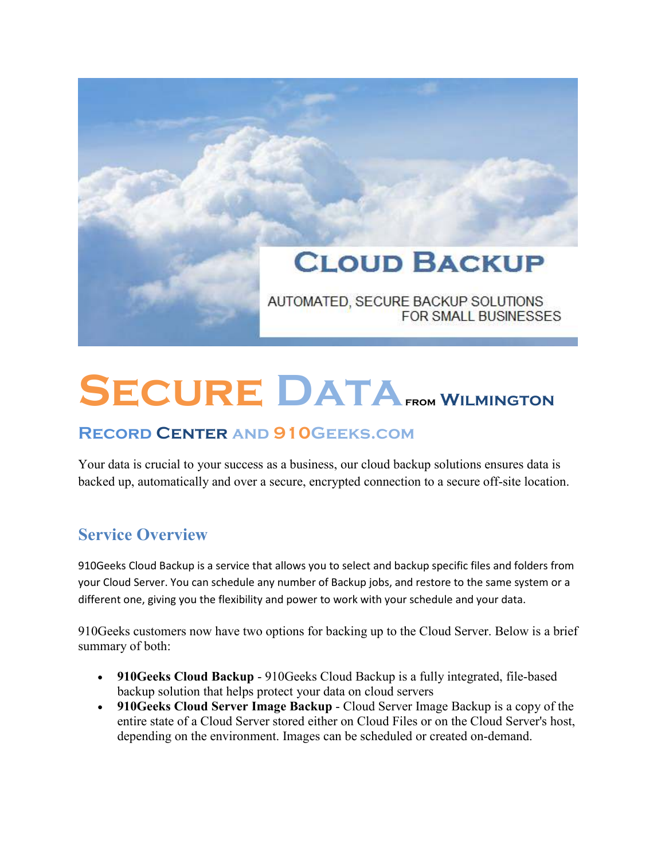

# **Secure Datafrom Wilmington**

## **Record Center and 910Geeks.com**

Your data is crucial to your success as a business, our cloud backup solutions ensures data is backed up, automatically and over a secure, encrypted connection to a secure off-site location.

## **Service Overview**

910Geeks Cloud Backup is a service that allows you to select and backup specific files and folders from your Cloud Server. You can schedule any number of Backup jobs, and restore to the same system or a different one, giving you the flexibility and power to work with your schedule and your data.

910Geeks customers now have two options for backing up to the Cloud Server. Below is a brief summary of both:

- **910Geeks Cloud Backup** 910Geeks Cloud Backup is a fully integrated, file-based backup solution that helps protect your data on cloud servers
- **910Geeks Cloud Server Image Backup** Cloud Server Image Backup is a copy of the entire state of a Cloud Server stored either on Cloud Files or on the Cloud Server's host, depending on the environment. Images can be scheduled or created on-demand.